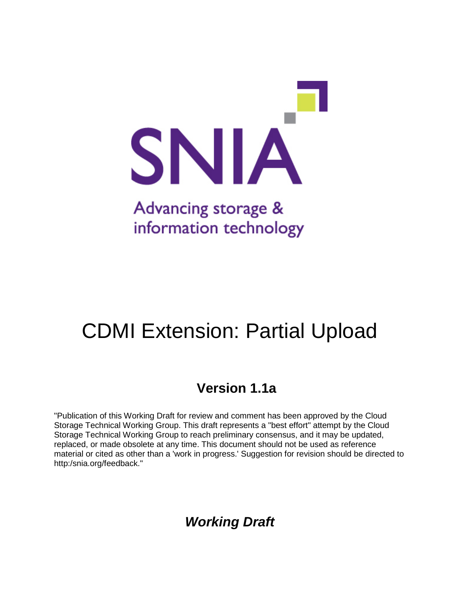

# CDMI Extension: Partial Upload

## **Version 1.1a**

"Publication of this Working Draft for review and comment has been approved by the Cloud Storage Technical Working Group. This draft represents a "best effort" attempt by the Cloud Storage Technical Working Group to reach preliminary consensus, and it may be updated, replaced, or made obsolete at any time. This document should not be used as reference material or cited as other than a 'work in progress.' Suggestion for revision should be directed to http:/snia.org/feedback."

*Working Draft*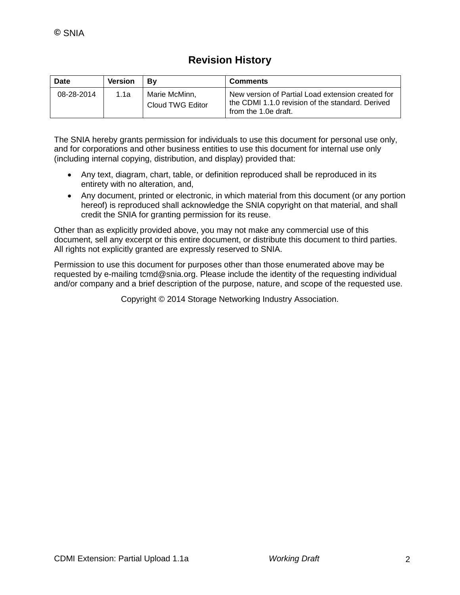### **Revision History**

| Date       | <b>Version</b> | Βv                                | <b>Comments</b>                                                                                                               |
|------------|----------------|-----------------------------------|-------------------------------------------------------------------------------------------------------------------------------|
| 08-28-2014 | 1.1a           | Marie McMinn.<br>Cloud TWG Editor | New version of Partial Load extension created for<br>the CDMI 1.1.0 revision of the standard. Derived<br>from the 1.0e draft. |

The SNIA hereby grants permission for individuals to use this document for personal use only, and for corporations and other business entities to use this document for internal use only (including internal copying, distribution, and display) provided that:

- Any text, diagram, chart, table, or definition reproduced shall be reproduced in its entirety with no alteration, and,
- Any document, printed or electronic, in which material from this document (or any portion hereof) is reproduced shall acknowledge the SNIA copyright on that material, and shall credit the SNIA for granting permission for its reuse.

Other than as explicitly provided above, you may not make any commercial use of this document, sell any excerpt or this entire document, or distribute this document to third parties. All rights not explicitly granted are expressly reserved to SNIA.

Permission to use this document for purposes other than those enumerated above may be requested by e-mailing tcmd@snia.org. Please include the identity of the requesting individual and/or company and a brief description of the purpose, nature, and scope of the requested use.

Copyright © 2014 Storage Networking Industry Association.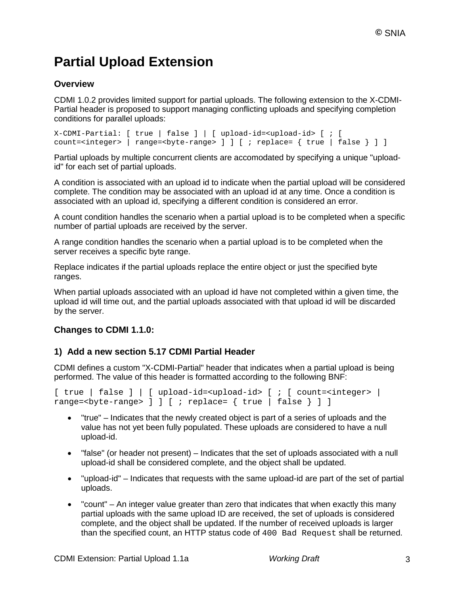## **Partial Upload Extension**

### **Overview**

CDMI 1.0.2 provides limited support for partial uploads. The following extension to the X-CDMI-Partial header is proposed to support managing conflicting uploads and specifying completion conditions for parallel uploads:

```
X-CDMI-Partial: [ true | false ] | [ upload-id=<upload-id> [ ; [ 
count=<integer> | range=<br/>>byte-range> ] ] [ ; replace= { true | false } ] ]
```
Partial uploads by multiple concurrent clients are accomodated by specifying a unique "uploadid" for each set of partial uploads.

A condition is associated with an upload id to indicate when the partial upload will be considered complete. The condition may be associated with an upload id at any time. Once a condition is associated with an upload id, specifying a different condition is considered an error.

A count condition handles the scenario when a partial upload is to be completed when a specific number of partial uploads are received by the server.

A range condition handles the scenario when a partial upload is to be completed when the server receives a specific byte range.

Replace indicates if the partial uploads replace the entire object or just the specified byte ranges.

When partial uploads associated with an upload id have not completed within a given time, the upload id will time out, and the partial uploads associated with that upload id will be discarded by the server.

#### **Changes to CDMI 1.1.0:**

#### **1) Add a new section 5.17 CDMI Partial Header**

CDMI defines a custom "X-CDMI-Partial" header that indicates when a partial upload is being performed. The value of this header is formatted according to the following BNF:

```
[ true | false ] | [ upload-id=<upload-id> [ ; [ count=<integer> |range=<byte-range> ] ] [ ; replace= { true | false } ] ]
```
- "true" Indicates that the newly created object is part of a series of uploads and the value has not yet been fully populated. These uploads are considered to have a null upload-id.
- "false" (or header not present) Indicates that the set of uploads associated with a null upload-id shall be considered complete, and the object shall be updated.
- "upload-id" Indicates that requests with the same upload-id are part of the set of partial uploads.
- "count" An integer value greater than zero that indicates that when exactly this many partial uploads with the same upload ID are received, the set of uploads is considered complete, and the object shall be updated. If the number of received uploads is larger than the specified count, an HTTP status code of 400 Bad Request shall be returned.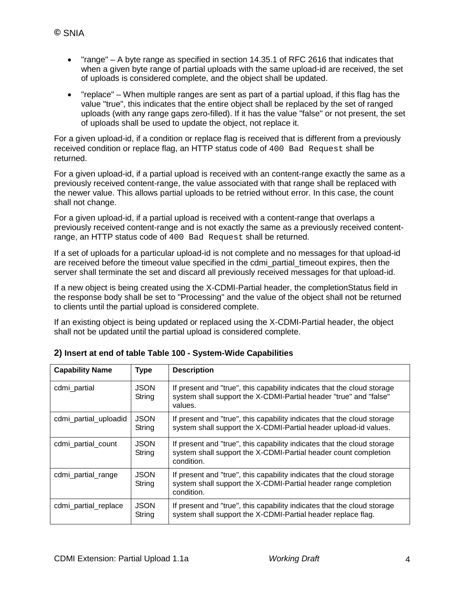- "range" A byte range as specified in section 14.35.1 of RFC 2616 that indicates that when a given byte range of partial uploads with the same upload-id are received, the set of uploads is considered complete, and the object shall be updated.
- "replace" When multiple ranges are sent as part of a partial upload, if this flag has the value "true", this indicates that the entire object shall be replaced by the set of ranged uploads (with any range gaps zero-filled). If it has the value "false" or not present, the set of uploads shall be used to update the object, not replace it.

For a given upload-id, if a condition or replace flag is received that is different from a previously received condition or replace flag, an HTTP status code of 400 Bad Request shall be returned.

For a given upload-id, if a partial upload is received with an content-range exactly the same as a previously received content-range, the value associated with that range shall be replaced with the newer value. This allows partial uploads to be retried without error. In this case, the count shall not change.

For a given upload-id, if a partial upload is received with a content-range that overlaps a previously received content-range and is not exactly the same as a previously received contentrange, an HTTP status code of 400 Bad Request shall be returned.

If a set of uploads for a particular upload-id is not complete and no messages for that upload-id are received before the timeout value specified in the cdmi\_partial\_timeout expires, then the server shall terminate the set and discard all previously received messages for that upload-id.

If a new object is being created using the X-CDMI-Partial header, the completionStatus field in the response body shall be set to "Processing" and the value of the object shall not be returned to clients until the partial upload is considered complete.

If an existing object is being updated or replaced using the X-CDMI-Partial header, the object shall not be updated until the partial upload is considered complete.

| <b>Capability Name</b> | <b>Type</b>           | <b>Description</b>                                                                                                                                       |
|------------------------|-----------------------|----------------------------------------------------------------------------------------------------------------------------------------------------------|
| cdmi_partial           | <b>JSON</b><br>String | If present and "true", this capability indicates that the cloud storage<br>system shall support the X-CDMI-Partial header "true" and "false"<br>values.  |
| cdmi_partial_uploadid  | <b>JSON</b><br>String | If present and "true", this capability indicates that the cloud storage<br>system shall support the X-CDMI-Partial header upload-id values.              |
| cdmi_partial_count     | <b>JSON</b><br>String | If present and "true", this capability indicates that the cloud storage<br>system shall support the X-CDMI-Partial header count completion<br>condition. |
| cdmi_partial_range     | <b>JSON</b><br>String | If present and "true", this capability indicates that the cloud storage<br>system shall support the X-CDMI-Partial header range completion<br>condition. |
| cdmi_partial_replace   | <b>JSON</b><br>String | If present and "true", this capability indicates that the cloud storage<br>system shall support the X-CDMI-Partial header replace flag.                  |

**2) Insert at end of table Table 100 - System-Wide Capabilities**